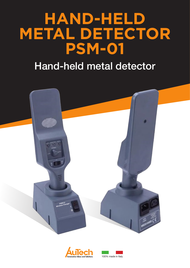# **HAND-HELD METAL DETECTOR PSM-01**

# Hand-held metal detector